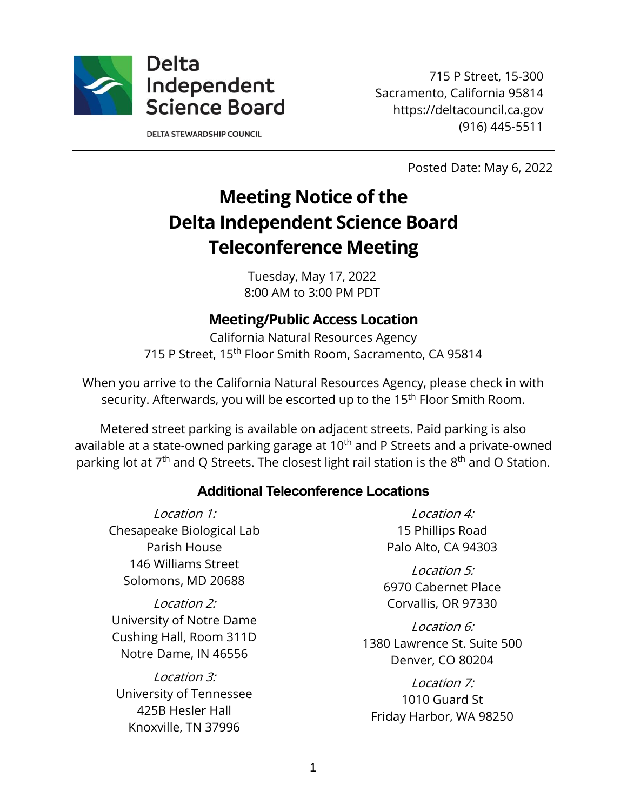

**DELTA STEWARDSHIP COUNCIL** 

715 P Street, 15-300 Sacramento, California 95814 https://deltacouncil.ca.gov (916) 445-5511

Posted Date: May 6, 2022

# **Meeting Notice of the Delta Independent Science Board Teleconference Meeting**

Tuesday, May 17, 2022 8:00 AM to 3:00 PM PDT

## **Meeting/Public Access Location**

California Natural Resources Agency 715 P Street, 15<sup>th</sup> Floor Smith Room, Sacramento, CA 95814

When you arrive to the California Natural Resources Agency, please check in with security. Afterwards, you will be escorted up to the 15<sup>th</sup> Floor Smith Room.

Metered street parking is available on adjacent streets. Paid parking is also available at a state-owned parking garage at 10<sup>th</sup> and P Streets and a private-owned parking lot at  $7<sup>th</sup>$  and Q Streets. The closest light rail station is the  $8<sup>th</sup>$  and O Station.

#### **Additional Teleconference Locations**

Location 1: Chesapeake Biological Lab Parish House 146 Williams Street Solomons, MD 20688

Location 2: University of Notre Dame Cushing Hall, Room 311D Notre Dame, IN 46556

Location 3: University of Tennessee 425B Hesler Hall Knoxville, TN 37996

Location 4: 15 Phillips Road Palo Alto, CA 94303

Location 5: 6970 Cabernet Place Corvallis, OR 97330

Location 6: 1380 Lawrence St. Suite 500 Denver, CO 80204

Location 7: 1010 Guard St Friday Harbor, WA 98250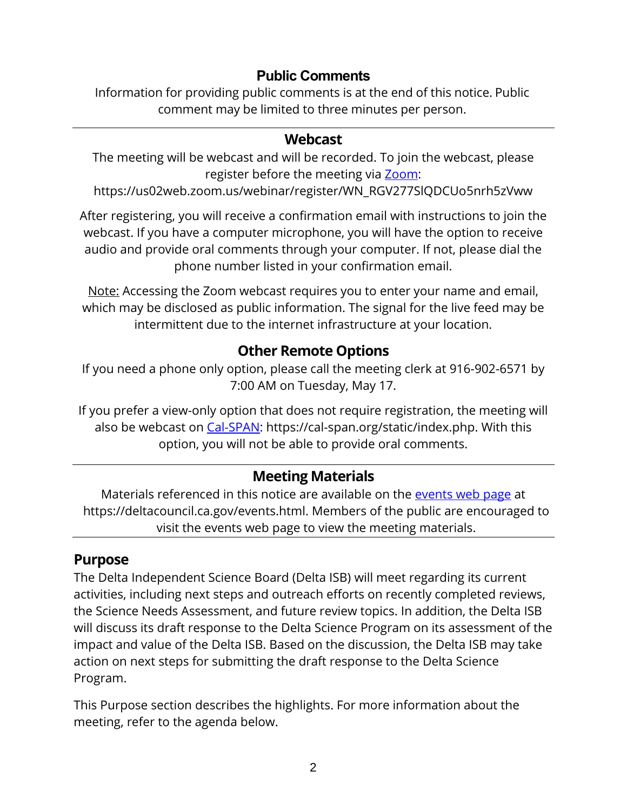## **Public Comments**

Information for providing public comments is at the end of this notice. Public comment may be limited to three minutes per person.

## **Webcast**

The meeting will be webcast and will be recorded. To join the webcast, please register before the meeting via [Zoom:](https://us02web.zoom.us/webinar/register/WN_RGV277SlQDCUo5nrh5zVww)

https://us02web.zoom.us/webinar/register/WN\_RGV277SlQDCUo5nrh5zVww

After registering, you will receive a confirmation email with instructions to join the webcast. If you have a computer microphone, you will have the option to receive audio and provide oral comments through your computer. If not, please dial the phone number listed in your confirmation email.

Note: Accessing the Zoom webcast requires you to enter your name and email, which may be disclosed as public information. The signal for the live feed may be intermittent due to the internet infrastructure at your location.

## **Other Remote Options**

If you need a phone only option, please call the meeting clerk at 916-902-6571 by 7:00 AM on Tuesday, May 17.

If you prefer a view-only option that does not require registration, the meeting will also be webcast on [Cal-SPAN:](https://cal-span.org/static/index.php) https://cal-span.org/static/index.php. With this option, you will not be able to provide oral comments.

## **Meeting Materials**

Materials referenced in this notice are available on the [events web page](https://deltacouncil.ca.gov/events.html) at https://deltacouncil.ca.gov/events.html. Members of the public are encouraged to visit the events web page to view the meeting materials.

## **Purpose**

The Delta Independent Science Board (Delta ISB) will meet regarding its current activities, including next steps and outreach efforts on recently completed reviews, the Science Needs Assessment, and future review topics. In addition, the Delta ISB will discuss its draft response to the Delta Science Program on its assessment of the impact and value of the Delta ISB. Based on the discussion, the Delta ISB may take action on next steps for submitting the draft response to the Delta Science Program.

This Purpose section describes the highlights. For more information about the meeting, refer to the agenda below.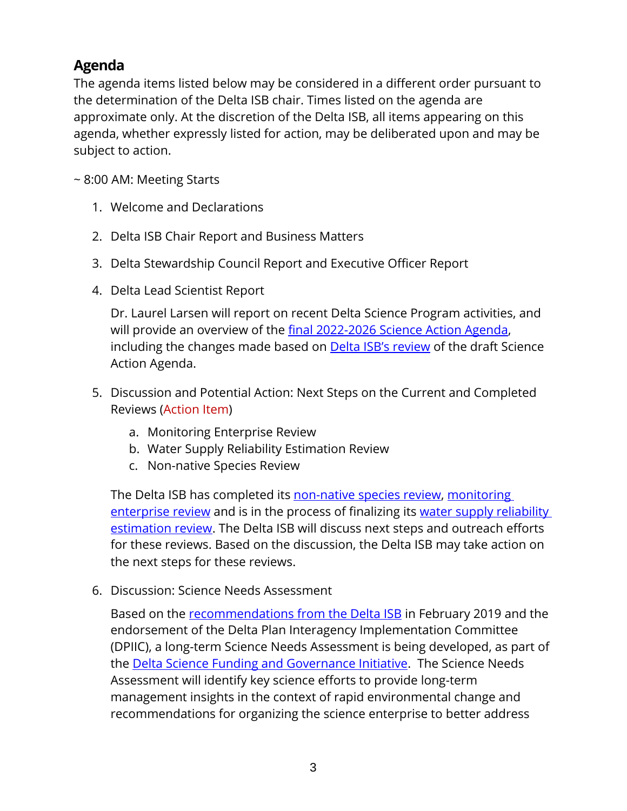# **Agenda**

The agenda items listed below may be considered in a different order pursuant to the determination of the Delta ISB chair. Times listed on the agenda are approximate only. At the discretion of the Delta ISB, all items appearing on this agenda, whether expressly listed for action, may be deliberated upon and may be subject to action.

~ 8:00 AM: Meeting Starts

- 1. Welcome and Declarations
- 2. Delta ISB Chair Report and Business Matters
- 3. Delta Stewardship Council Report and Executive Officer Report
- 4. Delta Lead Scientist Report

Dr. Laurel Larsen will report on recent Delta Science Program activities, and will provide an overview of the [final 2022-2026 Science Action Agenda,](https://scienceactionagenda.deltacouncil.ca.gov/pdf/2022-2026-science-action-agenda.pdf) including the changes made based on **[Delta ISB's review](https://deltacouncil.ca.gov/pdf/isb/products/2022-01-28-isb-science-action-agenda-review.pdf)** of the draft Science Action Agenda.

- 5. Discussion and Potential Action: Next Steps on the Current and Completed Reviews (Action Item)
	- a. Monitoring Enterprise Review
	- b. Water Supply Reliability Estimation Review
	- c. Non-native Species Review

The Delta ISB has completed its [non-native species review,](https://deltacouncil.ca.gov/pdf/isb/products/2021-05-21-isb-non-native-species-review.pdf) monitoring [enterprise review](https://deltacouncil.ca.gov/pdf/isb/products/2022-03-22-isb-monitoring-enterprise-review.pdf) and is in the process of finalizing its water supply reliability [estimation review.](https://deltacouncil.ca.gov/pdf/isb/meeting-materials/2022-02-02-isb-draft-water-supply-review.pdf) The Delta ISB will discuss next steps and outreach efforts for these reviews. Based on the discussion, the Delta ISB may take action on the next steps for these reviews.

6. Discussion: Science Needs Assessment

Based on the [recommendations from the Delta ISB](https://deltacouncil.ca.gov/pdf/isb/products/2019-02-11-isb-letter-to-dpiic.pdf) in February 2019 and the endorsement of the Delta Plan Interagency Implementation Committee (DPIIC), a long-term Science Needs Assessment is being developed, as part of the **Delta Science Funding and Governance Initiative**. The Science Needs Assessment will identify key science efforts to provide long-term management insights in the context of rapid environmental change and recommendations for organizing the science enterprise to better address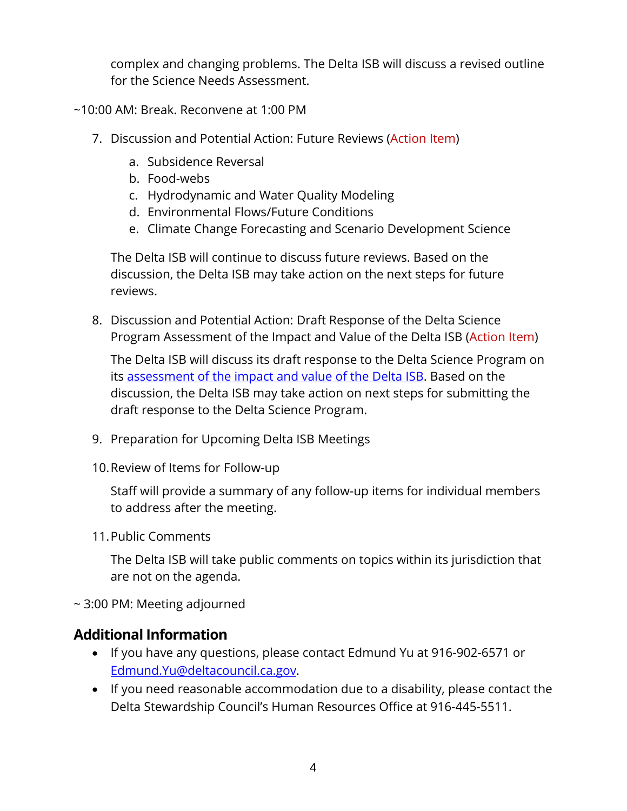complex and changing problems. The Delta ISB will discuss a revised outline for the Science Needs Assessment.

~10:00 AM: Break. Reconvene at 1:00 PM

- 7. Discussion and Potential Action: Future Reviews (Action Item)
	- a. Subsidence Reversal
	- b. Food-webs
	- c. Hydrodynamic and Water Quality Modeling
	- d. Environmental Flows/Future Conditions
	- e. Climate Change Forecasting and Scenario Development Science

The Delta ISB will continue to discuss future reviews. Based on the discussion, the Delta ISB may take action on the next steps for future reviews.

8. Discussion and Potential Action: Draft Response of the Delta Science Program Assessment of the Impact and Value of the Delta ISB (Action Item)

The Delta ISB will discuss its draft response to the Delta Science Program on its [assessment of the impact and value of the Delta ISB.](https://deltacouncil.ca.gov/pdf/isb/meeting-materials/2022-03-03-delta-isb-assessment.pdf) Based on the discussion, the Delta ISB may take action on next steps for submitting the draft response to the Delta Science Program.

- 9. Preparation for Upcoming Delta ISB Meetings
- 10.Review of Items for Follow-up

Staff will provide a summary of any follow-up items for individual members to address after the meeting.

11.Public Comments

The Delta ISB will take public comments on topics within its jurisdiction that are not on the agenda.

~ 3:00 PM: Meeting adjourned

## **Additional Information**

- If you have any questions, please contact Edmund Yu at 916-902-6571 or [Edmund.Yu@deltacouncil.ca.gov.](mailto:Edmund.Yu@deltacouncil.ca.gov)
- If you need reasonable accommodation due to a disability, please contact the Delta Stewardship Council's Human Resources Office at 916-445-5511.